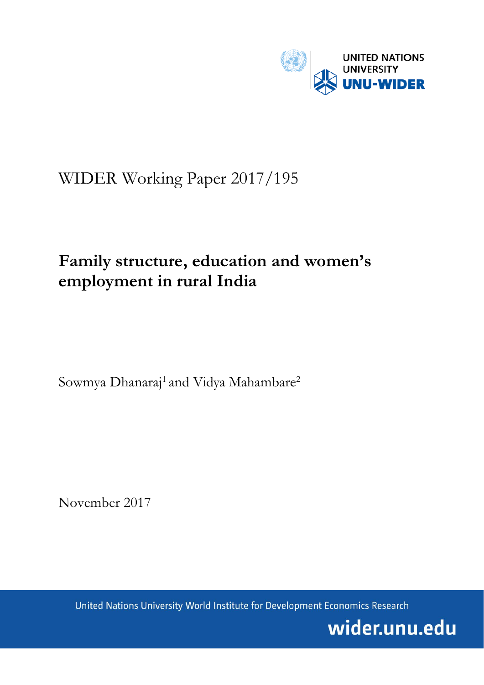

# WIDER Working Paper 2017/195

# **Family structure, education and women's employment in rural India**

Sowmya Dhanaraj<sup>1</sup> and Vidya Mahambare<sup>2</sup>

November 2017

United Nations University World Institute for Development Economics Research

wider.unu.edu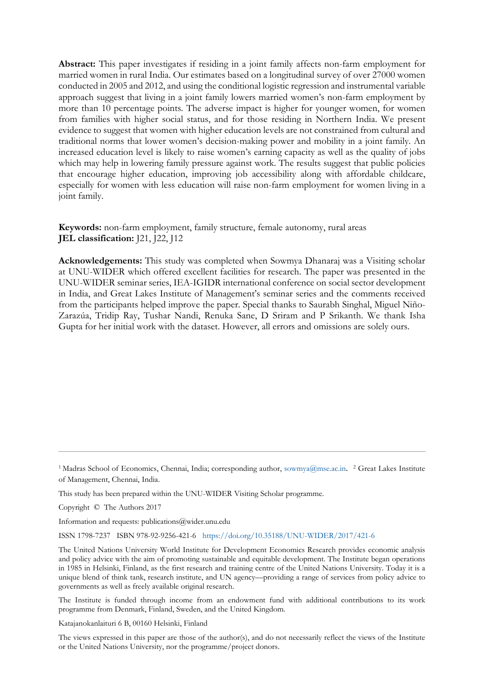**Abstract:** This paper investigates if residing in a joint family affects non-farm employment for married women in rural India. Our estimates based on a longitudinal survey of over 27000 women conducted in 2005 and 2012, and using the conditional logistic regression and instrumental variable approach suggest that living in a joint family lowers married women's non-farm employment by more than 10 percentage points. The adverse impact is higher for younger women, for women from families with higher social status, and for those residing in Northern India. We present evidence to suggest that women with higher education levels are not constrained from cultural and traditional norms that lower women's decision-making power and mobility in a joint family. An increased education level is likely to raise women's earning capacity as well as the quality of jobs which may help in lowering family pressure against work. The results suggest that public policies that encourage higher education, improving job accessibility along with affordable childcare, especially for women with less education will raise non-farm employment for women living in a joint family.

**Keywords:** non-farm employment, family structure, female autonomy, rural areas **JEL classification:** J21, J22, J12

**Acknowledgements:** This study was completed when Sowmya Dhanaraj was a Visiting scholar at UNU-WIDER which offered excellent facilities for research. The paper was presented in the UNU-WIDER seminar series, IEA-IGIDR international conference on social sector development in India, and Great Lakes Institute of Management's seminar series and the comments received from the participants helped improve the paper. Special thanks to Saurabh Singhal, Miguel Niño-Zarazúa, Tridip Ray, Tushar Nandi, Renuka Sane, D Sriram and P Srikanth. We thank Isha Gupta for her initial work with the dataset. However, all errors and omissions are solely ours.

Copyright © The Authors 2017

Information and requests: publications@wider.unu.edu

ISSN 1798-7237 ISBN 978-92-9256-421-6 <https://doi.org/10.35188/UNU-WIDER/2017/421-6>

Katajanokanlaituri 6 B, 00160 Helsinki, Finland

The views expressed in this paper are those of the author(s), and do not necessarily reflect the views of the Institute or the United Nations University, nor the programme/project donors.

<sup>&</sup>lt;sup>1</sup> Madras School of Economics, Chennai, India; corresponding author, [sowmya@mse.ac.in](mailto:sowmya@mse.ac.in). <sup>2</sup> Great Lakes Institute of Management, Chennai, India.

This study has been prepared within the UNU-WIDER Visiting Scholar programme.

The United Nations University World Institute for Development Economics Research provides economic analysis and policy advice with the aim of promoting sustainable and equitable development. The Institute began operations in 1985 in Helsinki, Finland, as the first research and training centre of the United Nations University. Today it is a unique blend of think tank, research institute, and UN agency—providing a range of services from policy advice to governments as well as freely available original research.

The Institute is funded through income from an endowment fund with additional contributions to its work programme from Denmark, Finland, Sweden, and the United Kingdom.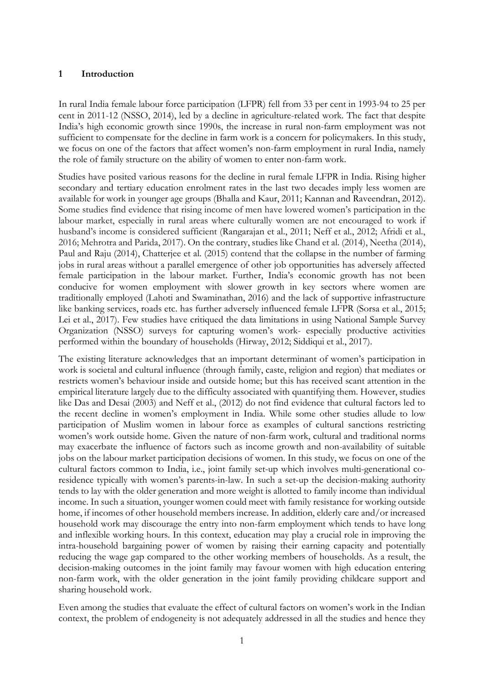#### **1 Introduction**

In rural India female labour force participation (LFPR) fell from 33 per cent in 1993-94 to 25 per cent in 2011-12 (NSSO, 2014), led by a decline in agriculture-related work. The fact that despite India's high economic growth since 1990s, the increase in rural non-farm employment was not sufficient to compensate for the decline in farm work is a concern for policymakers. In this study, we focus on one of the factors that affect women's non-farm employment in rural India, namely the role of family structure on the ability of women to enter non-farm work.

Studies have posited various reasons for the decline in rural female LFPR in India. Rising higher secondary and tertiary education enrolment rates in the last two decades imply less women are available for work in younger age groups (Bhalla and Kaur, 2011; Kannan and Raveendran, 2012). Some studies find evidence that rising income of men have lowered women's participation in the labour market, especially in rural areas where culturally women are not encouraged to work if husband's income is considered sufficient (Rangarajan et al., 2011; Neff et al., 2012; Afridi et al., 2016; Mehrotra and Parida, 2017). On the contrary, studies like Chand et al. (2014), Neetha (2014), Paul and Raju (2014), Chatterjee et al. (2015) contend that the collapse in the number of farming jobs in rural areas without a parallel emergence of other job opportunities has adversely affected female participation in the labour market. Further, India's economic growth has not been conducive for women employment with slower growth in key sectors where women are traditionally employed (Lahoti and Swaminathan, 2016) and the lack of supportive infrastructure like banking services, roads etc. has further adversely influenced female LFPR (Sorsa et al., 2015; Lei et al., 2017). Few studies have critiqued the data limitations in using National Sample Survey Organization (NSSO) surveys for capturing women's work- especially productive activities performed within the boundary of households (Hirway, 2012; Siddiqui et al., 2017).

The existing literature acknowledges that an important determinant of women's participation in work is societal and cultural influence (through family, caste, religion and region) that mediates or restricts women's behaviour inside and outside home; but this has received scant attention in the empirical literature largely due to the difficulty associated with quantifying them. However, studies like Das and Desai (2003) and Neff et al., (2012) do not find evidence that cultural factors led to the recent decline in women's employment in India. While some other studies allude to low participation of Muslim women in labour force as examples of cultural sanctions restricting women's work outside home. Given the nature of non-farm work, cultural and traditional norms may exacerbate the influence of factors such as income growth and non-availability of suitable jobs on the labour market participation decisions of women. In this study, we focus on one of the cultural factors common to India, i.e., joint family set-up which involves multi-generational coresidence typically with women's parents-in-law. In such a set-up the decision-making authority tends to lay with the older generation and more weight is allotted to family income than individual income. In such a situation, younger women could meet with family resistance for working outside home, if incomes of other household members increase. In addition, elderly care and/or increased household work may discourage the entry into non-farm employment which tends to have long and inflexible working hours. In this context, education may play a crucial role in improving the intra-household bargaining power of women by raising their earning capacity and potentially reducing the wage gap compared to the other working members of households. As a result, the decision-making outcomes in the joint family may favour women with high education entering non-farm work, with the older generation in the joint family providing childcare support and sharing household work.

Even among the studies that evaluate the effect of cultural factors on women's work in the Indian context, the problem of endogeneity is not adequately addressed in all the studies and hence they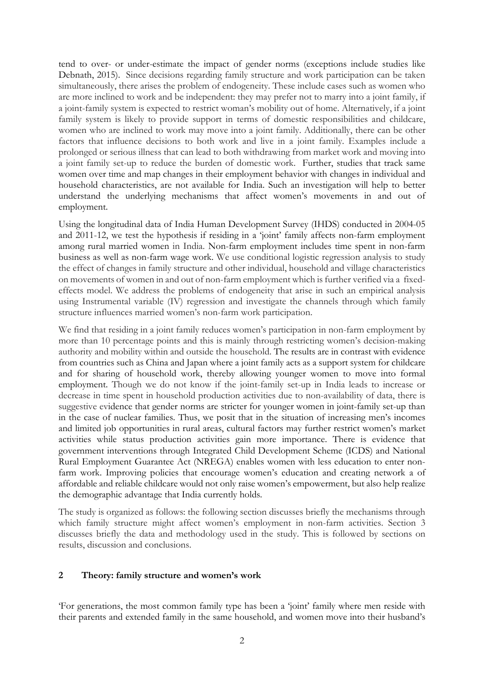tend to over- or under-estimate the impact of gender norms (exceptions include studies like Debnath, 2015). Since decisions regarding family structure and work participation can be taken simultaneously, there arises the problem of endogeneity. These include cases such as women who are more inclined to work and be independent: they may prefer not to marry into a joint family, if a joint-family system is expected to restrict woman's mobility out of home. Alternatively, if a joint family system is likely to provide support in terms of domestic responsibilities and childcare, women who are inclined to work may move into a joint family. Additionally, there can be other factors that influence decisions to both work and live in a joint family. Examples include a prolonged or serious illness that can lead to both withdrawing from market work and moving into a joint family set-up to reduce the burden of domestic work. Further, studies that track same women over time and map changes in their employment behavior with changes in individual and household characteristics, are not available for India. Such an investigation will help to better understand the underlying mechanisms that affect women's movements in and out of employment.

Using the longitudinal data of India Human Development Survey (IHDS) conducted in 2004-05 and 2011-12, we test the hypothesis if residing in a 'joint' family affects non-farm employment among rural married women in India. Non-farm employment includes time spent in non-farm business as well as non-farm wage work. We use conditional logistic regression analysis to study the effect of changes in family structure and other individual, household and village characteristics on movements of women in and out of non-farm employment which is further verified via a fixedeffects model. We address the problems of endogeneity that arise in such an empirical analysis using Instrumental variable (IV) regression and investigate the channels through which family structure influences married women's non-farm work participation.

We find that residing in a joint family reduces women's participation in non-farm employment by more than 10 percentage points and this is mainly through restricting women's decision-making authority and mobility within and outside the household. The results are in contrast with evidence from countries such as China and Japan where a joint family acts as a support system for childcare and for sharing of household work, thereby allowing younger women to move into formal employment. Though we do not know if the joint-family set-up in India leads to increase or decrease in time spent in household production activities due to non-availability of data, there is suggestive evidence that gender norms are stricter for younger women in joint-family set-up than in the case of nuclear families. Thus, we posit that in the situation of increasing men's incomes and limited job opportunities in rural areas, cultural factors may further restrict women's market activities while status production activities gain more importance. There is evidence that government interventions through Integrated Child Development Scheme (ICDS) and National Rural Employment Guarantee Act (NREGA) enables women with less education to enter nonfarm work. Improving policies that encourage women's education and creating network a of affordable and reliable childcare would not only raise women's empowerment, but also help realize the demographic advantage that India currently holds.

The study is organized as follows: the following section discusses briefly the mechanisms through which family structure might affect women's employment in non-farm activities. Section 3 discusses briefly the data and methodology used in the study. This is followed by sections on results, discussion and conclusions.

### **2 Theory: family structure and women's work**

'For generations, the most common family type has been a 'joint' family where men reside with their parents and extended family in the same household, and women move into their husband's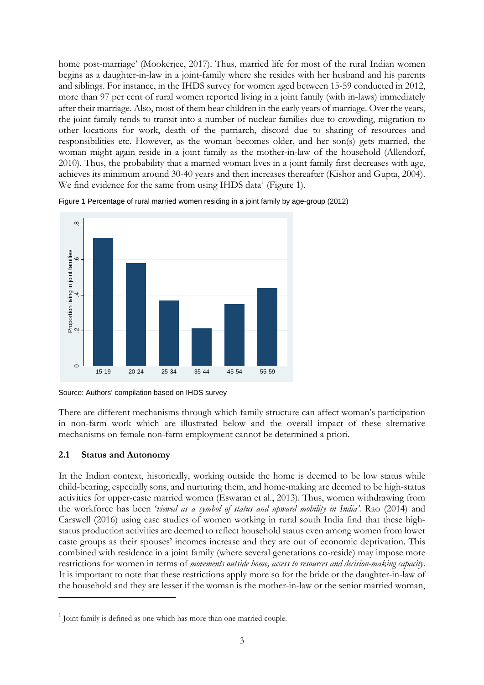home post-marriage' (Mookerjee, 2017). Thus, married life for most of the rural Indian women begins as a daughter-in-law in a joint-family where she resides with her husband and his parents and siblings. For instance, in the IHDS survey for women aged between 15-59 conducted in 2012, more than 97 per cent of rural women reported living in a joint family (with in-laws) immediately after their marriage. Also, most of them bear children in the early years of marriage. Over the years, the joint family tends to transit into a number of nuclear families due to crowding, migration to other locations for work, death of the patriarch, discord due to sharing of resources and responsibilities etc. However, as the woman becomes older, and her son(s) gets married, the woman might again reside in a joint family as the mother-in-law of the household (Allendorf, 2010). Thus, the probability that a married woman lives in a joint family first decreases with age, achieves its minimum around 30-40 years and then increases thereafter (Kishor and Gupta, 2004). We find evidence for the same from using IHDS data<sup>[1](#page-4-0)</sup> (Figure 1).

Figure 1 Percentage of rural married women residing in a joint family by age-group (2012)



Source: Authors' compilation based on IHDS survey

There are different mechanisms through which family structure can affect woman's participation in non-farm work which are illustrated below and the overall impact of these alternative mechanisms on female non-farm employment cannot be determined a priori.

### **2.1 Status and Autonomy**

-

In the Indian context, historically, working outside the home is deemed to be low status while child-bearing, especially sons, and nurturing them, and home-making are deemed to be high-status activities for upper-caste married women (Eswaran et al., 2013). Thus, women withdrawing from the workforce has been '*viewed as a symbol of status and upward mobility in India'*. Rao (2014) and Carswell (2016) using case studies of women working in rural south India find that these highstatus production activities are deemed to reflect household status even among women from lower caste groups as their spouses' incomes increase and they are out of economic deprivation. This combined with residence in a joint family (where several generations co-reside) may impose more restrictions for women in terms of *movements outside home, access to resources and decision-making capacity*. It is important to note that these restrictions apply more so for the bride or the daughter-in-law of the household and they are lesser if the woman is the mother-in-law or the senior married woman,

<span id="page-4-0"></span> $1$  Joint family is defined as one which has more than one married couple.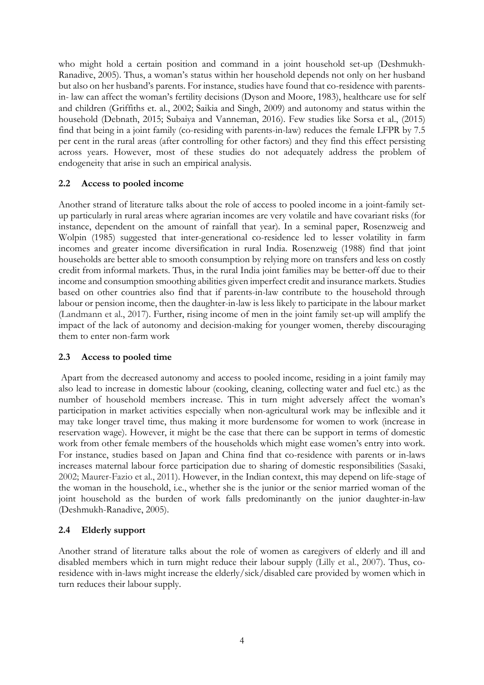who might hold a certain position and command in a joint household set-up (Deshmukh-Ranadive, 2005). Thus, a woman's status within her household depends not only on her husband but also on her husband's parents. For instance, studies have found that co-residence with parentsin- law can affect the woman's fertility decisions (Dyson and Moore, 1983), healthcare use for self and children (Griffiths et. al., 2002; Saikia and Singh, 2009) and autonomy and status within the household (Debnath, 2015; Subaiya and Vanneman, 2016). Few studies like Sorsa et al., (2015) find that being in a joint family (co-residing with parents-in-law) reduces the female LFPR by 7.5 per cent in the rural areas (after controlling for other factors) and they find this effect persisting across years. However, most of these studies do not adequately address the problem of endogeneity that arise in such an empirical analysis.

### **2.2 Access to pooled income**

Another strand of literature talks about the role of access to pooled income in a joint-family setup particularly in rural areas where agrarian incomes are very volatile and have covariant risks (for instance, dependent on the amount of rainfall that year). In a seminal paper, Rosenzweig and Wolpin (1985) suggested that inter-generational co-residence led to lesser volatility in farm incomes and greater income diversification in rural India. Rosenzweig (1988) find that joint households are better able to smooth consumption by relying more on transfers and less on costly credit from informal markets. Thus, in the rural India joint families may be better-off due to their income and consumption smoothing abilities given imperfect credit and insurance markets. Studies based on other countries also find that if parents-in-law contribute to the household through labour or pension income, then the daughter-in-law is less likely to participate in the labour market (Landmann et al., 2017). Further, rising income of men in the joint family set-up will amplify the impact of the lack of autonomy and decision-making for younger women, thereby discouraging them to enter non-farm work

### **2.3 Access to pooled time**

Apart from the decreased autonomy and access to pooled income, residing in a joint family may also lead to increase in domestic labour (cooking, cleaning, collecting water and fuel etc.) as the number of household members increase. This in turn might adversely affect the woman's participation in market activities especially when non-agricultural work may be inflexible and it may take longer travel time, thus making it more burdensome for women to work (increase in reservation wage). However, it might be the case that there can be support in terms of domestic work from other female members of the households which might ease women's entry into work. For instance, studies based on Japan and China find that co-residence with parents or in-laws increases maternal labour force participation due to sharing of domestic responsibilities (Sasaki, 2002; Maurer-Fazio et al., 2011). However, in the Indian context, this may depend on life-stage of the woman in the household, i.e., whether she is the junior or the senior married woman of the joint household as the burden of work falls predominantly on the junior daughter-in-law (Deshmukh-Ranadive, 2005).

# **2.4 Elderly support**

Another strand of literature talks about the role of women as caregivers of elderly and ill and disabled members which in turn might reduce their labour supply (Lilly et al., 2007). Thus, coresidence with in-laws might increase the elderly/sick/disabled care provided by women which in turn reduces their labour supply.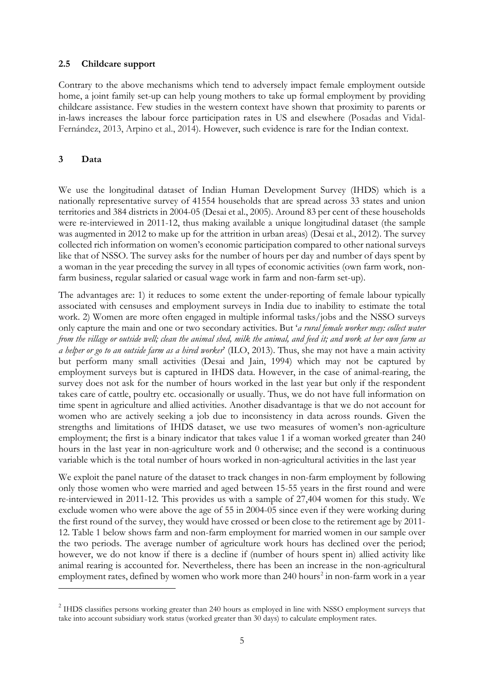### **2.5 Childcare support**

Contrary to the above mechanisms which tend to adversely impact female employment outside home, a joint family set-up can help young mothers to take up formal employment by providing childcare assistance. Few studies in the western context have shown that proximity to parents or in-laws increases the labour force participation rates in US and elsewhere (Posadas and Vidal-Fernández, 2013, Arpino et al., 2014). However, such evidence is rare for the Indian context.

## **3 Data**

<u>.</u>

We use the longitudinal dataset of Indian Human Development Survey (IHDS) which is a nationally representative survey of 41554 households that are spread across 33 states and union territories and 384 districts in 2004-05 (Desai et al., 2005). Around 83 per cent of these households were re-interviewed in 2011-12, thus making available a unique longitudinal dataset (the sample was augmented in 2012 to make up for the attrition in urban areas) (Desai et al., 2012). The survey collected rich information on women's economic participation compared to other national surveys like that of NSSO. The survey asks for the number of hours per day and number of days spent by a woman in the year preceding the survey in all types of economic activities (own farm work, nonfarm business, regular salaried or casual wage work in farm and non-farm set-up).

The advantages are: 1) it reduces to some extent the under-reporting of female labour typically associated with censuses and employment surveys in India due to inability to estimate the total work. 2) Women are more often engaged in multiple informal tasks/jobs and the NSSO surveys only capture the main and one or two secondary activities. But '*a rural female worker may: collect water from the village or outside well; clean the animal shed, milk the animal, and feed it; and work at her own farm as a helper or go to an outside farm as a hired worker*' (ILO, 2013). Thus, she may not have a main activity but perform many small activities (Desai and Jain, 1994) which may not be captured by employment surveys but is captured in IHDS data. However, in the case of animal-rearing, the survey does not ask for the number of hours worked in the last year but only if the respondent takes care of cattle, poultry etc. occasionally or usually. Thus, we do not have full information on time spent in agriculture and allied activities. Another disadvantage is that we do not account for women who are actively seeking a job due to inconsistency in data across rounds. Given the strengths and limitations of IHDS dataset, we use two measures of women's non-agriculture employment; the first is a binary indicator that takes value 1 if a woman worked greater than 240 hours in the last year in non-agriculture work and 0 otherwise; and the second is a continuous variable which is the total number of hours worked in non-agricultural activities in the last year

We exploit the panel nature of the dataset to track changes in non-farm employment by following only those women who were married and aged between 15-55 years in the first round and were re-interviewed in 2011-12. This provides us with a sample of 27,404 women for this study. We exclude women who were above the age of 55 in 2004-05 since even if they were working during the first round of the survey, they would have crossed or been close to the retirement age by 2011- 12. Table 1 below shows farm and non-farm employment for married women in our sample over the two periods. The average number of agriculture work hours has declined over the period; however, we do not know if there is a decline if (number of hours spent in) allied activity like animal rearing is accounted for. Nevertheless, there has been an increase in the non-agricultural employment rates, defined by women who work more than [2](#page-6-0)40 hours<sup>2</sup> in non-farm work in a year

<span id="page-6-0"></span><sup>&</sup>lt;sup>2</sup> IHDS classifies persons working greater than 240 hours as employed in line with NSSO employment surveys that take into account subsidiary work status (worked greater than 30 days) to calculate employment rates.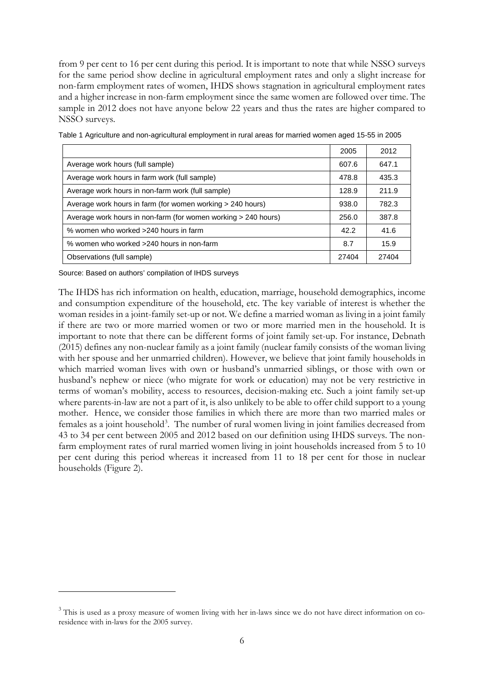from 9 per cent to 16 per cent during this period. It is important to note that while NSSO surveys for the same period show decline in agricultural employment rates and only a slight increase for non-farm employment rates of women, IHDS shows stagnation in agricultural employment rates and a higher increase in non-farm employment since the same women are followed over time. The sample in 2012 does not have anyone below 22 years and thus the rates are higher compared to NSSO surveys.

|                                                                | 2005  | 2012  |
|----------------------------------------------------------------|-------|-------|
| Average work hours (full sample)                               | 607.6 | 647.1 |
| Average work hours in farm work (full sample)                  | 478.8 | 435.3 |
| Average work hours in non-farm work (full sample)              | 128.9 | 211.9 |
| Average work hours in farm (for women working > 240 hours)     |       | 782.3 |
| Average work hours in non-farm (for women working > 240 hours) | 256.0 | 387.8 |
| % women who worked >240 hours in farm                          | 42.2  | 41.6  |
| % women who worked >240 hours in non-farm                      | 8.7   | 15.9  |
| Observations (full sample)                                     | 27404 | 27404 |

Table 1 Agriculture and non-agricultural employment in rural areas for married women aged 15-55 in 2005

Source: Based on authors' compilation of IHDS surveys

-

The IHDS has rich information on health, education, marriage, household demographics, income and consumption expenditure of the household, etc. The key variable of interest is whether the woman resides in a joint-family set-up or not. We define a married woman as living in a joint family if there are two or more married women or two or more married men in the household. It is important to note that there can be different forms of joint family set-up. For instance, Debnath (2015) defines any non-nuclear family as a joint family (nuclear family consists of the woman living with her spouse and her unmarried children). However, we believe that joint family households in which married woman lives with own or husband's unmarried siblings, or those with own or husband's nephew or niece (who migrate for work or education) may not be very restrictive in terms of woman's mobility, access to resources, decision-making etc. Such a joint family set-up where parents-in-law are not a part of it, is also unlikely to be able to offer child support to a young mother. Hence, we consider those families in which there are more than two married males or females as a joint household<sup>[3](#page-7-0)</sup>. The number of rural women living in joint families decreased from 43 to 34 per cent between 2005 and 2012 based on our definition using IHDS surveys. The nonfarm employment rates of rural married women living in joint households increased from 5 to 10 per cent during this period whereas it increased from 11 to 18 per cent for those in nuclear households (Figure 2).

<span id="page-7-0"></span><sup>&</sup>lt;sup>3</sup> This is used as a proxy measure of women living with her in-laws since we do not have direct information on coresidence with in-laws for the 2005 survey.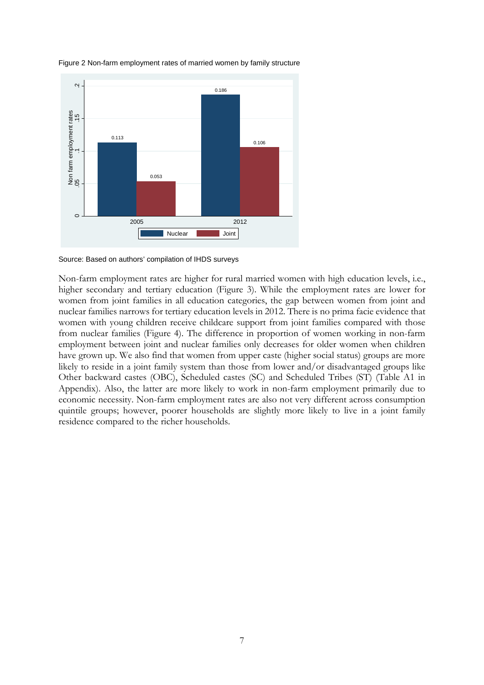

Figure 2 Non-farm employment rates of married women by family structure

Source: Based on authors' compilation of IHDS surveys

Non-farm employment rates are higher for rural married women with high education levels, i.e., higher secondary and tertiary education (Figure 3). While the employment rates are lower for women from joint families in all education categories, the gap between women from joint and nuclear families narrows for tertiary education levels in 2012. There is no prima facie evidence that women with young children receive childcare support from joint families compared with those from nuclear families (Figure 4). The difference in proportion of women working in non-farm employment between joint and nuclear families only decreases for older women when children have grown up. We also find that women from upper caste (higher social status) groups are more likely to reside in a joint family system than those from lower and/or disadvantaged groups like Other backward castes (OBC), Scheduled castes (SC) and Scheduled Tribes (ST) (Table A1 in Appendix). Also, the latter are more likely to work in non-farm employment primarily due to economic necessity. Non-farm employment rates are also not very different across consumption quintile groups; however, poorer households are slightly more likely to live in a joint family residence compared to the richer households.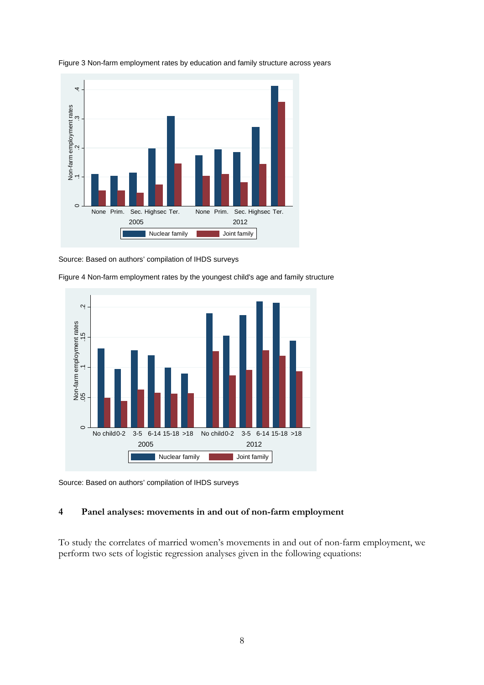

Figure 3 Non-farm employment rates by education and family structure across years

Source: Based on authors' compilation of IHDS surveys



Figure 4 Non-farm employment rates by the youngest child's age and family structure

Source: Based on authors' compilation of IHDS surveys

#### **4 Panel analyses: movements in and out of non-farm employment**

To study the correlates of married women's movements in and out of non-farm employment, we perform two sets of logistic regression analyses given in the following equations: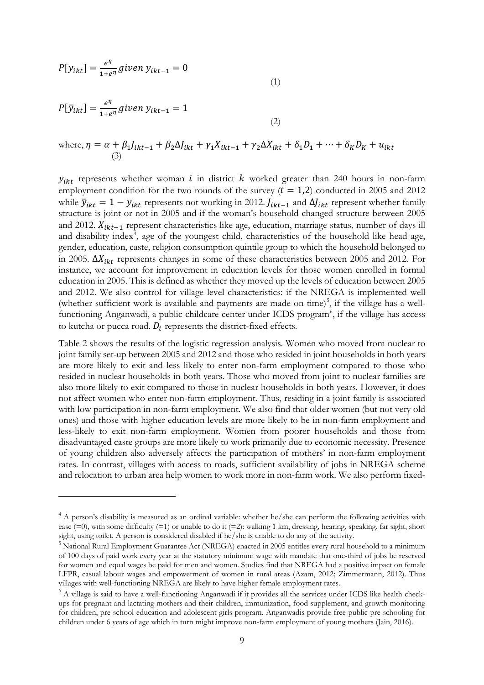$$
P[y_{ikt}] = \frac{e^{\eta}}{1 + e^{\eta}} \text{ given } y_{ikt-1} = 0
$$
\n<sup>(1)</sup>

$$
P[\bar{y}_{ikt}] = \frac{e^{\eta}}{1 + e^{\eta}} \text{ given } y_{ikt-1} = 1
$$
\n(2)

-

where, 
$$
\eta = \alpha + \beta_1 J_{ikt-1} + \beta_2 \Delta J_{ikt} + \gamma_1 X_{ikt-1} + \gamma_2 \Delta X_{ikt} + \delta_1 D_1 + \dots + \delta_K D_K + u_{ikt}
$$
  
(3)

 $y_{ikt}$  represents whether woman i in district  $k$  worked greater than 240 hours in non-farm employment condition for the two rounds of the survey  $(t = 1,2)$  conducted in 2005 and 2012 while  $\bar{y}_{ikt} = 1 - y_{ikt}$  represents not working in 2012.  $J_{ikt-1}$  and  $\Delta J_{ikt}$  represent whether family structure is joint or not in 2005 and if the woman's household changed structure between 2005 and 2012.  $X_{ikt-1}$  represent characteristics like age, education, marriage status, number of days ill and disability index<sup>[4](#page-10-0)</sup>, age of the youngest child, characteristics of the household like head age, gender, education, caste, religion consumption quintile group to which the household belonged to in 2005.  $\Delta X_{ikt}$  represents changes in some of these characteristics between 2005 and 2012. For instance, we account for improvement in education levels for those women enrolled in formal education in 2005. This is defined as whether they moved up the levels of education between 2005 and 2012. We also control for village level characteristics: if the NREGA is implemented well (whether sufficient work is available and payments are made on time)<sup>[5](#page-10-1)</sup>, if the village has a well-functioning Anganwadi, a public childcare center under ICDS program<sup>[6](#page-10-2)</sup>, if the village has access to kutcha or pucca road.  $D_i$  represents the district-fixed effects.

Table 2 shows the results of the logistic regression analysis. Women who moved from nuclear to joint family set-up between 2005 and 2012 and those who resided in joint households in both years are more likely to exit and less likely to enter non-farm employment compared to those who resided in nuclear households in both years. Those who moved from joint to nuclear families are also more likely to exit compared to those in nuclear households in both years. However, it does not affect women who enter non-farm employment. Thus, residing in a joint family is associated with low participation in non-farm employment. We also find that older women (but not very old ones) and those with higher education levels are more likely to be in non-farm employment and less-likely to exit non-farm employment. Women from poorer households and those from disadvantaged caste groups are more likely to work primarily due to economic necessity. Presence of young children also adversely affects the participation of mothers' in non-farm employment rates. In contrast, villages with access to roads, sufficient availability of jobs in NREGA scheme and relocation to urban area help women to work more in non-farm work. We also perform fixed-

<span id="page-10-0"></span><sup>&</sup>lt;sup>4</sup> A person's disability is measured as an ordinal variable: whether he/she can perform the following activities with ease (=0), with some difficulty (=1) or unable to do it (=2): walking 1 km, dressing, hearing, speaking, far sight, short sight, using toilet. A person is considered disabled if he/she is unable to do any of the activity.

<span id="page-10-1"></span><sup>&</sup>lt;sup>5</sup> National Rural Employment Guarantee Act (NREGA) enacted in 2005 entitles every rural household to a minimum of 100 days of paid work every year at the statutory minimum wage with mandate that one-third of jobs be reserved for women and equal wages be paid for men and women. Studies find that NREGA had a positive impact on female LFPR, casual labour wages and empowerment of women in rural areas (Azam, 2012; Zimmermann, 2012). Thus villages with well-functioning NREGA are likely to have higher female employment rates.

<span id="page-10-2"></span> $<sup>6</sup>$  A village is said to have a well-functioning Anganwadi if it provides all the services under ICDS like health check-</sup> ups for pregnant and lactating mothers and their children, immunization, food supplement, and growth monitoring for children, pre-school education and adolescent girls program. Anganwadis provide free public pre-schooling for children under 6 years of age which in turn might improve non-farm employment of young mothers (Jain, 2016).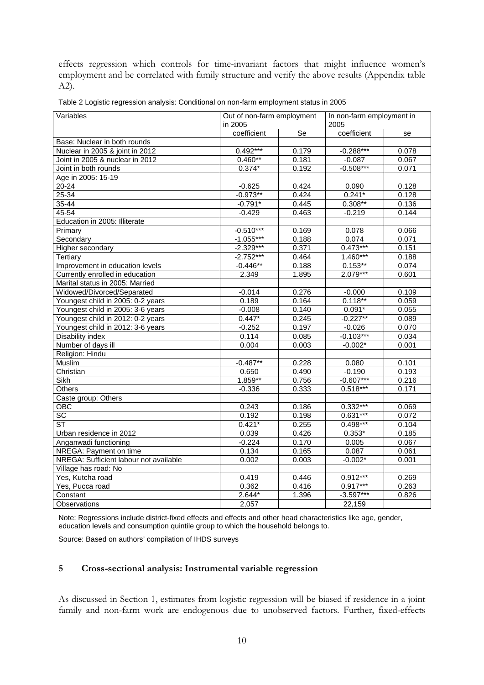effects regression which controls for time-invariant factors that might influence women's employment and be correlated with family structure and verify the above results (Appendix table A2).

| Variables                              | Out of non-farm employment<br>in 2005 |                        | In non-farm employment in<br>2005 |       |  |
|----------------------------------------|---------------------------------------|------------------------|-----------------------------------|-------|--|
|                                        | coefficient                           | $\overline{\text{Se}}$ | coefficient                       | se    |  |
| Base: Nuclear in both rounds           |                                       |                        |                                   |       |  |
| Nuclear in 2005 & joint in 2012        | $0.492***$                            | 0.179                  | $-0.288***$                       | 0.078 |  |
| Joint in 2005 & nuclear in 2012        | $0.460**$                             | 0.181                  | $-0.087$                          | 0.067 |  |
| Joint in both rounds                   | $0.374*$                              | 0.192                  | $-0.508***$                       | 0.071 |  |
| Age in 2005: 15-19                     |                                       |                        |                                   |       |  |
| $20 - 24$                              | $-0.625$                              | 0.424                  | 0.090                             | 0.128 |  |
| 25-34                                  | $-0.973**$                            | 0.424                  | $0.241*$                          | 0.128 |  |
| $35 - 44$                              | $-0.791*$                             | 0.445                  | $0.308**$                         | 0.136 |  |
| 45-54                                  | $-0.429$                              | 0.463                  | $-0.219$                          | 0.144 |  |
| Education in 2005: Illiterate          |                                       |                        |                                   |       |  |
| Primary                                | $-0.510***$                           | 0.169                  | 0.078                             | 0.066 |  |
| Secondary                              | $-1.055***$                           | 0.188                  | 0.074                             | 0.071 |  |
| Higher secondary                       | $-2.329***$                           | 0.371                  | $0.473***$                        | 0.151 |  |
| Tertiary                               | $-2.752***$                           | 0.464                  | $1.460***$                        | 0.188 |  |
| Improvement in education levels        | $-0.446**$                            | 0.188                  | $0.153**$                         | 0.074 |  |
| Currently enrolled in education        | 2.349                                 | 1.895                  | 2.079***                          | 0.601 |  |
| Marital status in 2005: Married        |                                       |                        |                                   |       |  |
| Widowed/Divorced/Separated             | $-0.014$                              | 0.276                  | $-0.000$                          | 0.109 |  |
| Youngest child in 2005: 0-2 years      | 0.189                                 | 0.164                  | $0.118**$                         | 0.059 |  |
| Youngest child in 2005: 3-6 years      | $-0.008$                              | 0.140                  | $0.091*$                          | 0.055 |  |
| Youngest child in 2012: 0-2 years      | $0.447*$                              | 0.245                  | $-0.227**$                        | 0.089 |  |
| Youngest child in 2012: 3-6 years      | $-0.252$                              | 0.197                  | $-0.026$                          | 0.070 |  |
| <b>Disability index</b>                | 0.114                                 | 0.085                  | $-0.103***$                       | 0.034 |  |
| Number of days ill                     | 0.004                                 | 0.003                  | $-0.002*$                         | 0.001 |  |
| Religion: Hindu                        |                                       |                        |                                   |       |  |
| Muslim                                 | $-0.487**$                            | 0.228                  | 0.080                             | 0.101 |  |
| Christian                              | 0.650                                 | 0.490                  | $-0.190$                          | 0.193 |  |
| <b>Sikh</b>                            | $1.859**$                             | 0.756                  | $-0.607***$                       | 0.216 |  |
| <b>Others</b>                          | $-0.336$                              | 0.333                  | $0.518***$                        | 0.171 |  |
| Caste group: Others                    |                                       |                        |                                   |       |  |
| OBC                                    | 0.243                                 | 0.186                  | $0.332***$                        | 0.069 |  |
| $\overline{SC}$                        | 0.192                                 | 0.198                  | $0.631***$                        | 0.072 |  |
| <b>ST</b>                              | $0.421*$                              | 0.255                  | $0.498***$                        | 0.104 |  |
| Urban residence in 2012                | 0.039                                 | 0.426                  | $0.353*$                          | 0.185 |  |
| Anganwadi functioning                  | $-0.224$                              | 0.170                  | 0.005                             | 0.067 |  |
| NREGA: Payment on time                 | 0.134                                 | 0.165                  | 0.087                             | 0.061 |  |
| NREGA: Sufficient labour not available | 0.002                                 | 0.003                  | $-0.002*$                         | 0.001 |  |
| Village has road: No                   |                                       |                        |                                   |       |  |
| Yes, Kutcha road                       | 0.419                                 | 0.446                  | $0.912***$                        | 0.269 |  |
| Yes, Pucca road                        | 0.362                                 | 0.416                  | $0.917***$                        | 0.263 |  |
| Constant                               | $2.644*$                              | 1.396                  | $-3.597***$                       | 0.826 |  |
| Observations                           | 2,057                                 |                        | 22,159                            |       |  |

Table 2 Logistic regression analysis: Conditional on non-farm employment status in 2005

Note: Regressions include district-fixed effects and effects and other head characteristics like age, gender, education levels and consumption quintile group to which the household belongs to.

Source: Based on authors' compilation of IHDS surveys

#### **5 Cross-sectional analysis: Instrumental variable regression**

As discussed in Section 1, estimates from logistic regression will be biased if residence in a joint family and non-farm work are endogenous due to unobserved factors. Further, fixed-effects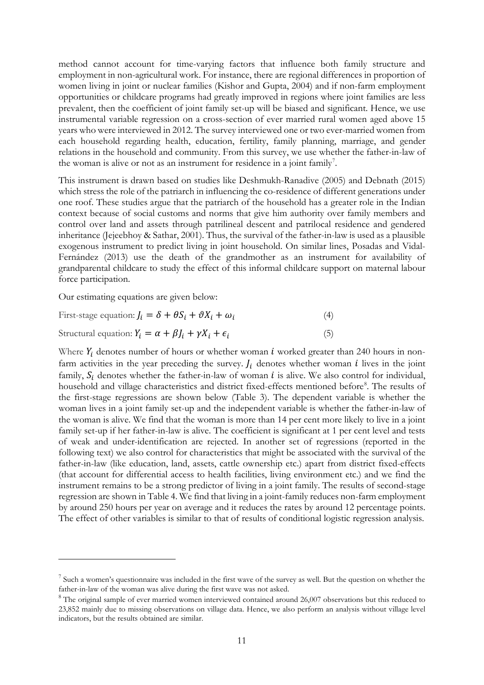method cannot account for time-varying factors that influence both family structure and employment in non-agricultural work. For instance, there are regional differences in proportion of women living in joint or nuclear families (Kishor and Gupta, 2004) and if non-farm employment opportunities or childcare programs had greatly improved in regions where joint families are less prevalent, then the coefficient of joint family set-up will be biased and significant. Hence, we use instrumental variable regression on a cross-section of ever married rural women aged above 15 years who were interviewed in 2012. The survey interviewed one or two ever-married women from each household regarding health, education, fertility, family planning, marriage, and gender relations in the household and community. From this survey, we use whether the father-in-law of the woman is alive or not as an instrument for residence in a joint family<sup>[7](#page-12-0)</sup>.

This instrument is drawn based on studies like Deshmukh-Ranadive (2005) and Debnath (2015) which stress the role of the patriarch in influencing the co-residence of different generations under one roof. These studies argue that the patriarch of the household has a greater role in the Indian context because of social customs and norms that give him authority over family members and control over land and assets through patrilineal descent and patrilocal residence and gendered inheritance (Jejeebhoy & Sathar, 2001). Thus, the survival of the father-in-law is used as a plausible exogenous instrument to predict living in joint household. On similar lines, Posadas and Vidal-Fernández (2013) use the death of the grandmother as an instrument for availability of grandparental childcare to study the effect of this informal childcare support on maternal labour force participation.

Our estimating equations are given below:

<u>.</u>

First-stage equation:  $J_i = \delta + \theta S_i + \theta X_i + \omega_i$  (4)

$$
Structural equation: Yi = \alpha + \beta Ji + \gamma Xi + \epsiloni
$$
\n(5)

Where  $Y_i$  denotes number of hours or whether woman i worked greater than 240 hours in nonfarm activities in the year preceding the survey.  $J_i$  denotes whether woman *i* lives in the joint family,  $S_i$  denotes whether the father-in-law of woman  $i$  is alive. We also control for individual, household and village characteristics and district fixed-effects mentioned before[8](#page-12-1). The results of the first-stage regressions are shown below (Table 3). The dependent variable is whether the woman lives in a joint family set-up and the independent variable is whether the father-in-law of the woman is alive. We find that the woman is more than 14 per cent more likely to live in a joint family set-up if her father-in-law is alive. The coefficient is significant at 1 per cent level and tests of weak and under-identification are rejected. In another set of regressions (reported in the following text) we also control for characteristics that might be associated with the survival of the father-in-law (like education, land, assets, cattle ownership etc.) apart from district fixed-effects (that account for differential access to health facilities, living environment etc.) and we find the instrument remains to be a strong predictor of living in a joint family. The results of second-stage regression are shown in Table 4. We find that living in a joint-family reduces non-farm employment by around 250 hours per year on average and it reduces the rates by around 12 percentage points. The effect of other variables is similar to that of results of conditional logistic regression analysis.

<span id="page-12-0"></span><sup>&</sup>lt;sup>7</sup> Such a women's questionnaire was included in the first wave of the survey as well. But the question on whether the father-in-law of the woman was alive during the first wave was not asked.

<span id="page-12-1"></span><sup>&</sup>lt;sup>8</sup> The original sample of ever married women interviewed contained around 26,007 observations but this reduced to 23,852 mainly due to missing observations on village data. Hence, we also perform an analysis without village level indicators, but the results obtained are similar.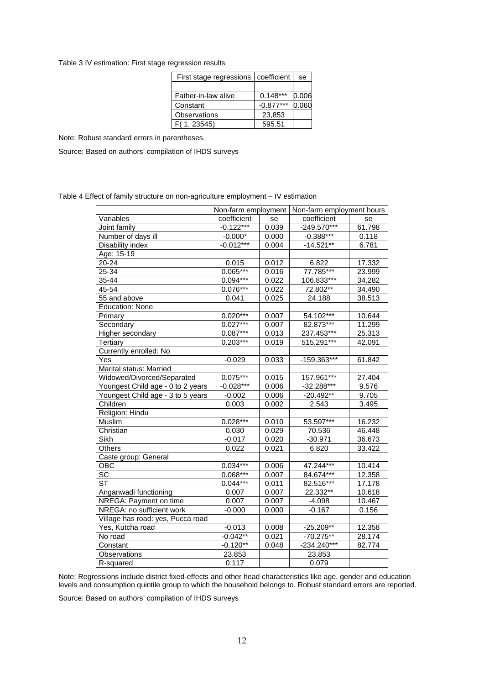Table 3 IV estimation: First stage regression results

| coefficient | se    |
|-------------|-------|
|             |       |
| $0.148***$  | 0.006 |
| $-0.877***$ | 0.060 |
| 23,853      |       |
| 595.51      |       |
|             |       |

Note: Robust standard errors in parentheses.

Source: Based on authors' compilation of IHDS surveys

Table 4 Effect of family structure on non-agriculture employment – IV estimation

|                                   |             |       | Non-farm employment   Non-farm employment hours |        |
|-----------------------------------|-------------|-------|-------------------------------------------------|--------|
| Variables                         | coefficient | se    | coefficient                                     | se     |
| Joint family                      | $-0.122***$ | 0.039 | $-249.570***$                                   | 61.798 |
| Number of days ill                | $-0.000*$   | 0.000 | $-0.388***$                                     | 0.118  |
| Disability index                  | $-0.012***$ | 0.004 | $-14.521**$                                     | 6.781  |
| Age: 15-19                        |             |       |                                                 |        |
| 20-24                             | 0.015       | 0.012 | 6.822                                           | 17.332 |
| $25 - 34$                         | $0.065***$  | 0.016 | 77.785***                                       | 23.999 |
| $35 - 44$                         | $0.094***$  | 0.022 | $106.833***$                                    | 34.282 |
| 45-54                             | 0.076***    | 0.022 | 72.802**                                        | 34.490 |
| 55 and above                      | 0.041       | 0.025 | 24.188                                          | 38.513 |
| <b>Education: None</b>            |             |       |                                                 |        |
| Primary                           | $0.020***$  | 0.007 | 54.102***                                       | 10.644 |
| Secondary                         | $0.027***$  | 0.007 | 82.873***                                       | 11.299 |
| Higher secondary                  | $0.087***$  | 0.013 | 237.453***                                      | 25.313 |
| Tertiary                          | $0.203***$  | 0.019 | 515.291***                                      | 42.091 |
| Currently enrolled: No            |             |       |                                                 |        |
| Yes                               | $-0.029$    | 0.033 | -159.363***                                     | 61.842 |
| Marital status: Married           |             |       |                                                 |        |
| Widowed/Divorced/Separated        | $0.075***$  | 0.015 | 157.961***                                      | 27.404 |
| Youngest Child age - 0 to 2 years | $-0.028***$ | 0.006 | $-32.288***$                                    | 9.576  |
| Youngest Child age - 3 to 5 years | $-0.002$    | 0.006 | $-20.492**$                                     | 9.705  |
| Children                          | 0.003       | 0.002 | 2.543                                           | 3.495  |
| Religion: Hindu                   |             |       |                                                 |        |
| Muslim                            | $0.028***$  | 0.010 | 53.597***                                       | 16.232 |
| Christian                         | 0.030       | 0.029 | 70.536                                          | 46.448 |
| Sikh                              | $-0.017$    | 0.020 | $-30.971$                                       | 36.673 |
| Others                            | 0.022       | 0.021 | 6.820                                           | 33.422 |
| Caste group: General              |             |       |                                                 |        |
| OBC                               | $0.034***$  | 0.006 | 47.244***                                       | 10.414 |
| $\overline{SC}$                   | $0.068***$  | 0.007 | 84.674***                                       | 12.358 |
| <b>ST</b>                         | $0.044***$  | 0.011 | 82.516***                                       | 17.178 |
| Anganwadi functioning             | 0.007       | 0.007 | 22.332**                                        | 10.618 |
| NREGA: Payment on time            | 0.007       | 0.007 | $-4.098$                                        | 10.467 |
| NREGA: no sufficient work         | $-0.000$    | 0.000 | $-0.167$                                        | 0.156  |
| Village has road: yes, Pucca road |             |       |                                                 |        |
| Yes, Kutcha road                  | $-0.013$    | 0.008 | $-25.209**$                                     | 12.358 |
| No road                           | $-0.042**$  | 0.021 | $-70.275**$                                     | 28.174 |
| Constant                          | $-0.120**$  | 0.048 | $-234.240***$                                   | 82.774 |
| Observations                      | 23,853      |       | 23,853                                          |        |
| R-squared                         | 0.117       |       | 0.079                                           |        |

Note: Regressions include district fixed-effects and other head characteristics like age, gender and education levels and consumption quintile group to which the household belongs to. Robust standard errors are reported.

Source: Based on authors' compilation of IHDS surveys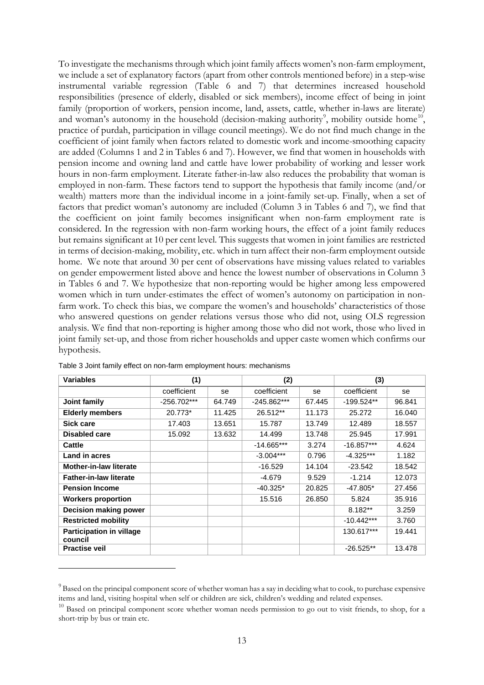To investigate the mechanisms through which joint family affects women's non-farm employment, we include a set of explanatory factors (apart from other controls mentioned before) in a step-wise instrumental variable regression (Table 6 and 7) that determines increased household responsibilities (presence of elderly, disabled or sick members), income effect of being in joint family (proportion of workers, pension income, land, assets, cattle, whether in-laws are literate) and woman's autonomy in the household (decision-making authority<sup>[9](#page-14-0)</sup>, mobility outside home<sup>10</sup>, practice of purdah, participation in village council meetings). We do not find much change in the coefficient of joint family when factors related to domestic work and income-smoothing capacity are added (Columns 1 and 2 in Tables 6 and 7). However, we find that women in households with pension income and owning land and cattle have lower probability of working and lesser work hours in non-farm employment. Literate father-in-law also reduces the probability that woman is employed in non-farm. These factors tend to support the hypothesis that family income (and/or wealth) matters more than the individual income in a joint-family set-up. Finally, when a set of factors that predict woman's autonomy are included (Column 3 in Tables 6 and 7), we find that the coefficient on joint family becomes insignificant when non-farm employment rate is considered. In the regression with non-farm working hours, the effect of a joint family reduces but remains significant at 10 per cent level. This suggests that women in joint families are restricted in terms of decision-making, mobility, etc. which in turn affect their non-farm employment outside home. We note that around 30 per cent of observations have missing values related to variables on gender empowerment listed above and hence the lowest number of observations in Column 3 in Tables 6 and 7. We hypothesize that non-reporting would be higher among less empowered women which in turn under-estimates the effect of women's autonomy on participation in nonfarm work. To check this bias, we compare the women's and households' characteristics of those who answered questions on gender relations versus those who did not, using OLS regression analysis. We find that non-reporting is higher among those who did not work, those who lived in joint family set-up, and those from richer households and upper caste women which confirms our hypothesis.

| <b>Variables</b>                           | (1)         |        | (2)           |        | (3)          |        |
|--------------------------------------------|-------------|--------|---------------|--------|--------------|--------|
|                                            | coefficient | se     | coefficient   | se     | coefficient  | se     |
| Joint family                               | -256.702*** | 64.749 | $-245.862***$ | 67.445 | $-199.524**$ | 96.841 |
| <b>Elderly members</b>                     | 20.773*     | 11.425 | 26.512**      | 11.173 | 25.272       | 16.040 |
| Sick care                                  | 17.403      | 13.651 | 15.787        | 13.749 | 12.489       | 18.557 |
| Disabled care                              | 15.092      | 13.632 | 14.499        | 13.748 | 25.945       | 17.991 |
| Cattle                                     |             |        | $-14.665***$  | 3.274  | $-16.857***$ | 4.624  |
| Land in acres                              |             |        | $-3.004***$   | 0.796  | $-4.325***$  | 1.182  |
| <b>Mother-in-law literate</b>              |             |        | $-16.529$     | 14.104 | $-23.542$    | 18.542 |
| <b>Father-in-law literate</b>              |             |        | -4.679        | 9.529  | $-1.214$     | 12.073 |
| <b>Pension Income</b>                      |             |        | $-40.325*$    | 20.825 | $-47.805*$   | 27.456 |
| <b>Workers proportion</b>                  |             |        | 15.516        | 26.850 | 5.824        | 35.916 |
| <b>Decision making power</b>               |             |        |               |        | 8.182**      | 3.259  |
| <b>Restricted mobility</b>                 |             |        |               |        | $-10.442***$ | 3.760  |
| <b>Participation in village</b><br>council |             |        |               |        | 130.617***   | 19.441 |
| <b>Practise veil</b>                       |             |        |               |        | $-26.525**$  | 13.478 |

Table 3 Joint family effect on non-farm employment hours: mechanisms

-

<span id="page-14-0"></span><sup>&</sup>lt;sup>9</sup> Based on the principal component score of whether woman has a say in deciding what to cook, to purchase expensive items and land, visiting hospital when self or children are sick, children's wedding and related expenses.

<span id="page-14-1"></span><sup>&</sup>lt;sup>10</sup> Based on principal component score whether woman needs permission to go out to visit friends, to shop, for a short-trip by bus or train etc.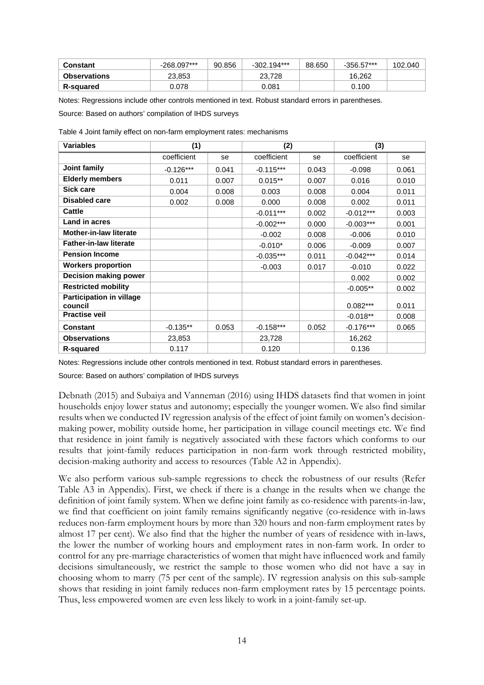| Constant            | -268.097*** | 90.856 | $-302.194***$ | 88.650 | -356.57*** | 102.040 |
|---------------------|-------------|--------|---------------|--------|------------|---------|
| <b>Observations</b> | 23.853      |        | 23.728        |        | 16.262     |         |
| <b>R-squared</b>    | Ე.078       |        | 0.081         |        | 0.100      |         |

Notes: Regressions include other controls mentioned in text. Robust standard errors in parentheses.

Source: Based on authors' compilation of IHDS surveys

| <b>Variables</b>                           | (1)         |       | (2)         |       | (3)         |       |
|--------------------------------------------|-------------|-------|-------------|-------|-------------|-------|
|                                            | coefficient | se    | coefficient | se    | coefficient | se    |
| Joint family                               | $-0.126***$ | 0.041 | $-0.115***$ | 0.043 | $-0.098$    | 0.061 |
| <b>Elderly members</b>                     | 0.011       | 0.007 | $0.015**$   | 0.007 | 0.016       | 0.010 |
| <b>Sick care</b>                           | 0.004       | 0.008 | 0.003       | 0.008 | 0.004       | 0.011 |
| <b>Disabled care</b>                       | 0.002       | 0.008 | 0.000       | 0.008 | 0.002       | 0.011 |
| Cattle                                     |             |       | $-0.011***$ | 0.002 | $-0.012***$ | 0.003 |
| Land in acres                              |             |       | $-0.002***$ | 0.000 | $-0.003***$ | 0.001 |
| <b>Mother-in-law literate</b>              |             |       | $-0.002$    | 0.008 | $-0.006$    | 0.010 |
| <b>Father-in-law literate</b>              |             |       | $-0.010*$   | 0.006 | $-0.009$    | 0.007 |
| <b>Pension Income</b>                      |             |       | $-0.035***$ | 0.011 | $-0.042***$ | 0.014 |
| <b>Workers proportion</b>                  |             |       | $-0.003$    | 0.017 | $-0.010$    | 0.022 |
| Decision making power                      |             |       |             |       | 0.002       | 0.002 |
| <b>Restricted mobility</b>                 |             |       |             |       | $-0.005**$  | 0.002 |
| <b>Participation in village</b><br>council |             |       |             |       | $0.082***$  | 0.011 |
| <b>Practise veil</b>                       |             |       |             |       | $-0.018**$  | 0.008 |
|                                            |             |       |             | 0.052 |             |       |
| <b>Constant</b>                            | $-0.135**$  | 0.053 | $-0.158***$ |       | $-0.176***$ | 0.065 |
| <b>Observations</b>                        | 23,853      |       | 23,728      |       | 16,262      |       |
| <b>R-squared</b>                           | 0.117       |       | 0.120       |       | 0.136       |       |

Table 4 Joint family effect on non-farm employment rates: mechanisms

Notes: Regressions include other controls mentioned in text. Robust standard errors in parentheses.

Source: Based on authors' compilation of IHDS surveys

Debnath (2015) and Subaiya and Vanneman (2016) using IHDS datasets find that women in joint households enjoy lower status and autonomy; especially the younger women. We also find similar results when we conducted IV regression analysis of the effect of joint family on women's decisionmaking power, mobility outside home, her participation in village council meetings etc. We find that residence in joint family is negatively associated with these factors which conforms to our results that joint-family reduces participation in non-farm work through restricted mobility, decision-making authority and access to resources (Table A2 in Appendix).

We also perform various sub-sample regressions to check the robustness of our results (Refer Table A3 in Appendix). First, we check if there is a change in the results when we change the definition of joint family system. When we define joint family as co-residence with parents-in-law, we find that coefficient on joint family remains significantly negative (co-residence with in-laws reduces non-farm employment hours by more than 320 hours and non-farm employment rates by almost 17 per cent). We also find that the higher the number of years of residence with in-laws, the lower the number of working hours and employment rates in non-farm work. In order to control for any pre-marriage characteristics of women that might have influenced work and family decisions simultaneously, we restrict the sample to those women who did not have a say in choosing whom to marry (75 per cent of the sample). IV regression analysis on this sub-sample shows that residing in joint family reduces non-farm employment rates by 15 percentage points. Thus, less empowered women are even less likely to work in a joint-family set-up.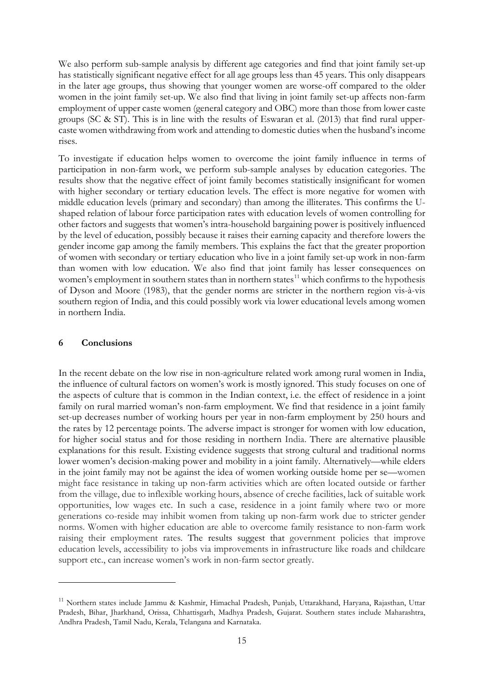We also perform sub-sample analysis by different age categories and find that joint family set-up has statistically significant negative effect for all age groups less than 45 years. This only disappears in the later age groups, thus showing that younger women are worse-off compared to the older women in the joint family set-up. We also find that living in joint family set-up affects non-farm employment of upper caste women (general category and OBC) more than those from lower caste groups (SC & ST). This is in line with the results of Eswaran et al. (2013) that find rural uppercaste women withdrawing from work and attending to domestic duties when the husband's income rises.

To investigate if education helps women to overcome the joint family influence in terms of participation in non-farm work, we perform sub-sample analyses by education categories. The results show that the negative effect of joint family becomes statistically insignificant for women with higher secondary or tertiary education levels. The effect is more negative for women with middle education levels (primary and secondary) than among the illiterates. This confirms the Ushaped relation of labour force participation rates with education levels of women controlling for other factors and suggests that women's intra-household bargaining power is positively influenced by the level of education, possibly because it raises their earning capacity and therefore lowers the gender income gap among the family members. This explains the fact that the greater proportion of women with secondary or tertiary education who live in a joint family set-up work in non-farm than women with low education. We also find that joint family has lesser consequences on women's employment in southern states than in northern states<sup>[11](#page-16-0)</sup> which confirms to the hypothesis of Dyson and Moore (1983), that the gender norms are stricter in the northern region vis-à-vis southern region of India, and this could possibly work via lower educational levels among women in northern India.

#### **6 Conclusions**

-

In the recent debate on the low rise in non-agriculture related work among rural women in India, the influence of cultural factors on women's work is mostly ignored. This study focuses on one of the aspects of culture that is common in the Indian context, i.e. the effect of residence in a joint family on rural married woman's non-farm employment. We find that residence in a joint family set-up decreases number of working hours per year in non-farm employment by 250 hours and the rates by 12 percentage points. The adverse impact is stronger for women with low education, for higher social status and for those residing in northern India. There are alternative plausible explanations for this result. Existing evidence suggests that strong cultural and traditional norms lower women's decision-making power and mobility in a joint family. Alternatively—while elders in the joint family may not be against the idea of women working outside home per se—women might face resistance in taking up non-farm activities which are often located outside or farther from the village, due to inflexible working hours, absence of creche facilities, lack of suitable work opportunities, low wages etc. In such a case, residence in a joint family where two or more generations co-reside may inhibit women from taking up non-farm work due to stricter gender norms. Women with higher education are able to overcome family resistance to non-farm work raising their employment rates. The results suggest that government policies that improve education levels, accessibility to jobs via improvements in infrastructure like roads and childcare support etc., can increase women's work in non-farm sector greatly.

<span id="page-16-0"></span><sup>&</sup>lt;sup>11</sup> Northern states include Jammu & Kashmir, Himachal Pradesh, Punjab, Uttarakhand, Haryana, Rajasthan, Uttar Pradesh, Bihar, Jharkhand, Orissa, Chhattisgarh, Madhya Pradesh, Gujarat. Southern states include Maharashtra, Andhra Pradesh, Tamil Nadu, Kerala, Telangana and Karnataka.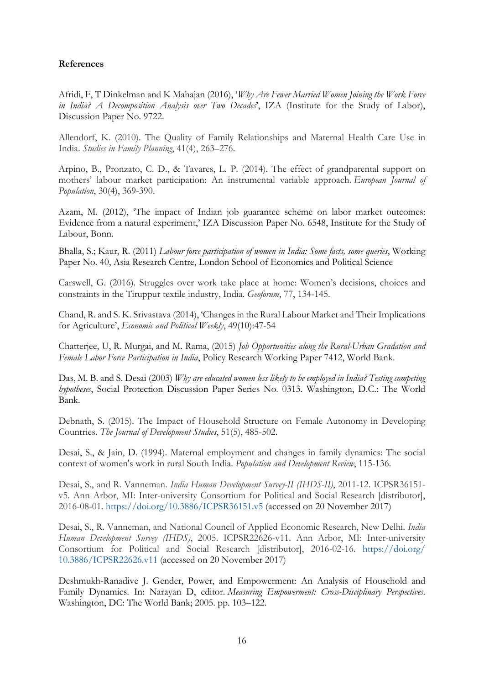#### **References**

Afridi, F, T Dinkelman and K Mahajan (2016), '*Why Are Fewer Married Women Joining the Work Force in India? A Decomposition Analysis over Two Decades*', IZA (Institute for the Study of Labor), Discussion Paper No. 9722.

Allendorf, K. (2010). The Quality of Family Relationships and Maternal Health Care Use in India. *Studies in Family Planning*, 41(4), 263–276.

Arpino, B., Pronzato, C. D., & Tavares, L. P. (2014). The effect of grandparental support on mothers' labour market participation: An instrumental variable approach. *European Journal of Population*, 30(4), 369-390.

Azam, M. (2012), 'The impact of Indian job guarantee scheme on labor market outcomes: Evidence from a natural experiment,' IZA Discussion Paper No. 6548, Institute for the Study of Labour, Bonn.

Bhalla, S.; Kaur, R. (2011) *Labour force participation of women in India: Some facts, some queries*, Working Paper No. 40, Asia Research Centre, London School of Economics and Political Science

Carswell, G. (2016). Struggles over work take place at home: Women's decisions, choices and constraints in the Tiruppur textile industry, India. *Geoforum*, 77, 134-145.

Chand, R. and S. K. Srivastava (2014), 'Changes in the Rural Labour Market and Their Implications for Agriculture', *Economic and Political Weekly*, 49(10):47-54

Chatterjee, U, R. Murgai, and M. Rama, (2015) *Job Opportunities along the Rural-Urban Gradation and Female Labor Force Participation in India*, Policy Research Working Paper 7412, World Bank.

Das, M. B. and S. Desai (2003) *Why are educated women less likely to be employed in India? Testing competing hypotheses*, Social Protection Discussion Paper Series No. 0313. Washington, D.C.: The World Bank.

Debnath, S. (2015). The Impact of Household Structure on Female Autonomy in Developing Countries. *The Journal of Development Studies*, 51(5), 485-502.

Desai, S., & Jain, D. (1994). Maternal employment and changes in family dynamics: The social context of women's work in rural South India. *Population and Development Review*, 115-136.

Desai, S., and R. Vanneman. *India Human Development Survey-II (IHDS-II)*, 2011-12. ICPSR36151 v5. Ann Arbor, MI: Inter-university Consortium for Political and Social Research [distributor], 2016-08-01.<https://doi.org/10.3886/ICPSR36151.v5> (accessed on 20 November 2017)

Desai, S., R. Vanneman, and National Council of Applied Economic Research, New Delhi. *India Human Development Survey (IHDS)*, 2005. ICPSR22626-v11. Ann Arbor, MI: Inter-university Consortium for Political and Social Research [distributor], 2016-02-16. [https://doi.org/](https://doi.org/10.3886/ICPSR22626.v11) [10.3886/ICPSR22626.v11](https://doi.org/10.3886/ICPSR22626.v11) (accessed on 20 November 2017)

Deshmukh-Ranadive J. Gender, Power, and Empowerment: An Analysis of Household and Family Dynamics. In: Narayan D, editor. *Measuring Empowerment: Cross-Disciplinary Perspectives*. Washington, DC: The World Bank; 2005. pp. 103–122.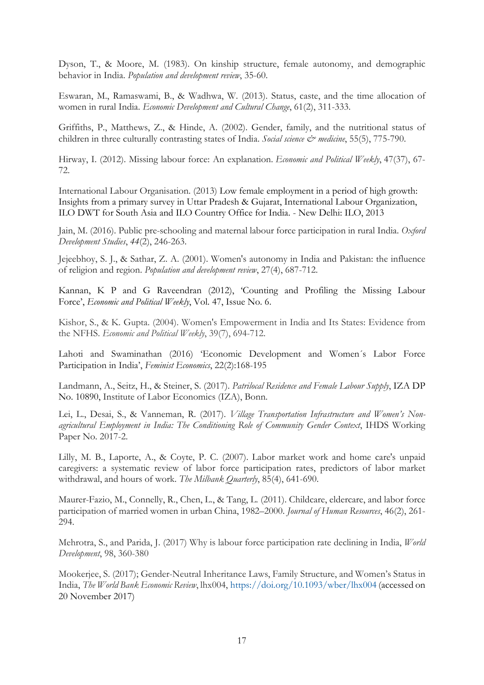Dyson, T., & Moore, M. (1983). On kinship structure, female autonomy, and demographic behavior in India. *Population and development review*, 35-60.

Eswaran, M., Ramaswami, B., & Wadhwa, W. (2013). Status, caste, and the time allocation of women in rural India. *Economic Development and Cultural Change*, 61(2), 311-333.

Griffiths, P., Matthews, Z., & Hinde, A. (2002). Gender, family, and the nutritional status of children in three culturally contrasting states of India. *Social science & medicine*, 55(5), 775-790.

Hirway, I. (2012). Missing labour force: An explanation. *Economic and Political Weekly*, 47(37), 67- 72.

International Labour Organisation. (2013) Low female employment in a period of high growth: Insights from a primary survey in Uttar Pradesh & Gujarat, International Labour Organization, ILO DWT for South Asia and ILO Country Office for India. - New Delhi: ILO, 2013

Jain, M. (2016). Public pre-schooling and maternal labour force participation in rural India. *Oxford Development Studies*, *44*(2), 246-263.

Jejeebhoy, S. J., & Sathar, Z. A. (2001). Women's autonomy in India and Pakistan: the influence of religion and region. *Population and development review*, 27(4), 687-712.

Kannan, K P and G Raveendran (2012), 'Counting and Profiling the Missing Labour Force', *Economic and Political Weekly*, Vol. 47, Issue No. 6.

Kishor, S., & K. Gupta. (2004). Women's Empowerment in India and Its States: Evidence from the NFHS. *Economic and Political Weekly*, 39(7), 694-712.

Lahoti and Swaminathan (2016) 'Economic Development and Women´s Labor Force Participation in India', *Feminist Economics*, 22(2):168-195

Landmann, A., Seitz, H., & Steiner, S. (2017). *Patrilocal Residence and Female Labour Supply*, IZA DP No. 10890, Institute of Labor Economics (IZA), Bonn.

Lei, L., Desai, S., & Vanneman, R. (2017). *Village Transportation Infrastructure and Women's Nonagricultural Employment in India: The Conditioning Role of Community Gender Context*, IHDS Working Paper No. 2017-2.

Lilly, M. B., Laporte, A., & Coyte, P. C. (2007). Labor market work and home care's unpaid caregivers: a systematic review of labor force participation rates, predictors of labor market withdrawal, and hours of work. *The Milbank Quarterly*, 85(4), 641-690.

Maurer-Fazio, M., Connelly, R., Chen, L., & Tang, L. (2011). Childcare, eldercare, and labor force participation of married women in urban China, 1982–2000. *Journal of Human Resources*, 46(2), 261- 294.

Mehrotra, S., and Parida, J. (2017) Why is labour force participation rate declining in India, *World Development*, 98, 360-380

Mookerjee, S. (2017); Gender-Neutral Inheritance Laws, Family Structure, and Women's Status in India, *The World Bank Economic Review*, lhx004, <https://doi.org/10.1093/wber/lhx004> (accessed on 20 November 2017)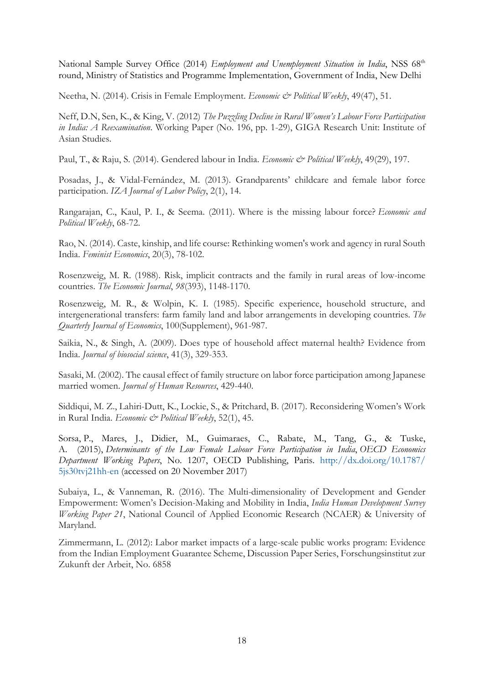National Sample Survey Office (2014) *Employment and Unemployment Situation in India*, NSS 68<sup>th</sup> round, Ministry of Statistics and Programme Implementation, Government of India, New Delhi

Neetha, N. (2014). Crisis in Female Employment. *Economic & Political Weekly*, 49(47), 51.

Neff, D.N, Sen, K., & King, V. (2012) *The Puzzling Decline in Rural Women's Labour Force Participation in India: A Reexamination*. Working Paper (No. 196, pp. 1-29), GIGA Research Unit: Institute of Asian Studies.

Paul, T., & Raju, S. (2014). Gendered labour in India. *Economic & Political Weekly*, 49(29), 197.

Posadas, J., & Vidal-Fernández, M. (2013). Grandparents' childcare and female labor force participation. *IZA Journal of Labor Policy*, 2(1), 14.

Rangarajan, C., Kaul, P. I., & Seema. (2011). Where is the missing labour force? *Economic and Political Weekly*, 68-72.

Rao, N. (2014). Caste, kinship, and life course: Rethinking women's work and agency in rural South India. *Feminist Economics*, 20(3), 78-102.

Rosenzweig, M. R. (1988). Risk, implicit contracts and the family in rural areas of low-income countries. *The Economic Journal*, *98*(393), 1148-1170.

Rosenzweig, M. R., & Wolpin, K. I. (1985). Specific experience, household structure, and intergenerational transfers: farm family land and labor arrangements in developing countries. *The Quarterly Journal of Economics*, 100(Supplement), 961-987.

Saikia, N., & Singh, A. (2009). Does type of household affect maternal health? Evidence from India. *Journal of biosocial science*, 41(3), 329-353.

Sasaki, M. (2002). The causal effect of family structure on labor force participation among Japanese married women. *Journal of Human Resources*, 429-440.

Siddiqui, M. Z., Lahiri-Dutt, K., Lockie, S., & Pritchard, B. (2017). Reconsidering Women's Work in Rural India. *Economic & Political Weekly*, 52(1), 45.

Sorsa, P., Mares, J., Didier, M., Guimaraes, C., Rabate, M., Tang, G., & Tuske, A. (2015), *Determinants of the Low Female Labour Force Participation in India*, *OECD Economics Department Working Papers*, No. 1207, OECD Publishing, Paris. [http://dx.doi.org/10.1787/](http://dx.doi.org/10.1787/5js30tvj21hh-en) [5js30tvj21hh-en](http://dx.doi.org/10.1787/5js30tvj21hh-en) (accessed on 20 November 2017)

Subaiya, L., & Vanneman, R. (2016). The Multi-dimensionality of Development and Gender Empowerment: Women's Decision-Making and Mobility in India, *India Human Development Survey Working Paper 21*, National Council of Applied Economic Research (NCAER) & University of Maryland.

Zimmermann, L. (2012): Labor market impacts of a large-scale public works program: Evidence from the Indian Employment Guarantee Scheme, Discussion Paper Series, Forschungsinstitut zur Zukunft der Arbeit, No. 6858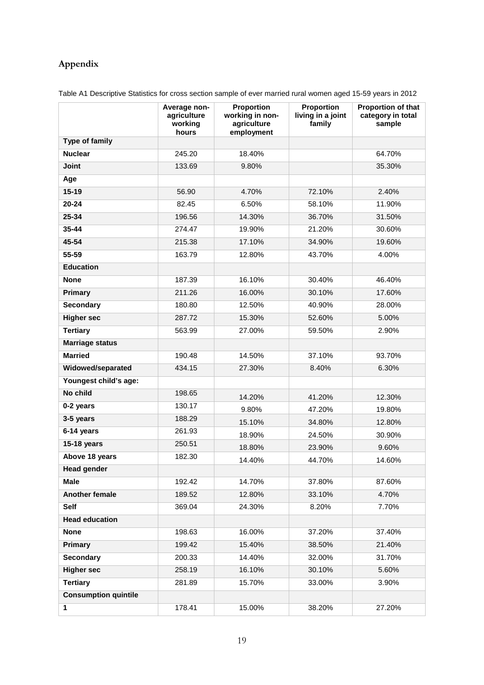# **Appendix**

Table A1 Descriptive Statistics for cross section sample of ever married rural women aged 15-59 years in 2012

|                             | Average non-<br>agriculture<br>working<br>hours | Proportion<br>working in non-<br>agriculture<br>employment | Proportion<br>living in a joint<br>family | Proportion of that<br>category in total<br>sample |
|-----------------------------|-------------------------------------------------|------------------------------------------------------------|-------------------------------------------|---------------------------------------------------|
| Type of family              |                                                 |                                                            |                                           |                                                   |
| <b>Nuclear</b>              | 245.20                                          | 18.40%                                                     |                                           | 64.70%                                            |
| <b>Joint</b>                | 133.69                                          | 9.80%                                                      |                                           | 35.30%                                            |
| Age                         |                                                 |                                                            |                                           |                                                   |
| $15 - 19$                   | 56.90                                           | 4.70%                                                      | 72.10%                                    | 2.40%                                             |
| 20-24                       | 82.45                                           | 6.50%                                                      | 58.10%                                    | 11.90%                                            |
| 25-34                       | 196.56                                          | 14.30%                                                     | 36.70%                                    | 31.50%                                            |
| 35-44                       | 274.47                                          | 19.90%                                                     | 21.20%                                    | 30.60%                                            |
| 45-54                       | 215.38                                          | 17.10%                                                     | 34.90%                                    | 19.60%                                            |
| 55-59                       | 163.79                                          | 12.80%                                                     | 43.70%                                    | 4.00%                                             |
| <b>Education</b>            |                                                 |                                                            |                                           |                                                   |
| <b>None</b>                 | 187.39                                          | 16.10%                                                     | 30.40%                                    | 46.40%                                            |
| <b>Primary</b>              | 211.26                                          | 16.00%                                                     | 30.10%                                    | 17.60%                                            |
| <b>Secondary</b>            | 180.80                                          | 12.50%                                                     | 40.90%                                    | 28.00%                                            |
| <b>Higher sec</b>           | 287.72                                          | 15.30%                                                     | 52.60%                                    | 5.00%                                             |
| <b>Tertiary</b>             | 563.99                                          | 27.00%                                                     | 59.50%                                    | 2.90%                                             |
| <b>Marriage status</b>      |                                                 |                                                            |                                           |                                                   |
| <b>Married</b>              | 190.48                                          | 14.50%                                                     | 37.10%                                    | 93.70%                                            |
| Widowed/separated           | 434.15                                          | 27.30%                                                     | 8.40%                                     | 6.30%                                             |
| Youngest child's age:       |                                                 |                                                            |                                           |                                                   |
| No child                    | 198.65                                          | 14.20%                                                     | 41.20%                                    | 12.30%                                            |
| 0-2 years                   | 130.17                                          | 9.80%                                                      | 47.20%                                    | 19.80%                                            |
| 3-5 years                   | 188.29                                          | 15.10%                                                     | 34.80%                                    | 12.80%                                            |
| 6-14 years                  | 261.93                                          | 18.90%                                                     | 24.50%                                    | 30.90%                                            |
| <b>15-18 years</b>          | 250.51                                          | 18.80%                                                     | 23.90%                                    | 9.60%                                             |
| Above 18 years              | 182.30                                          | 14.40%                                                     | 44.70%                                    | 14.60%                                            |
| <b>Head gender</b>          |                                                 |                                                            |                                           |                                                   |
| <b>Male</b>                 | 192.42                                          | 14.70%                                                     | 37.80%                                    | 87.60%                                            |
| Another female              | 189.52                                          | 12.80%                                                     | 33.10%                                    | 4.70%                                             |
| Self                        | 369.04                                          | 24.30%                                                     | 8.20%                                     | 7.70%                                             |
| <b>Head education</b>       |                                                 |                                                            |                                           |                                                   |
| <b>None</b>                 | 198.63                                          | 16.00%                                                     | 37.20%                                    | 37.40%                                            |
| <b>Primary</b>              | 199.42                                          | 15.40%                                                     | 38.50%                                    | 21.40%                                            |
| <b>Secondary</b>            | 200.33                                          | 14.40%                                                     | 32.00%                                    | 31.70%                                            |
| <b>Higher sec</b>           | 258.19                                          | 16.10%                                                     | 30.10%                                    | 5.60%                                             |
| <b>Tertiary</b>             | 281.89                                          | 15.70%                                                     | 33.00%                                    | 3.90%                                             |
| <b>Consumption quintile</b> |                                                 |                                                            |                                           |                                                   |
| 1                           | 178.41                                          | 15.00%                                                     | 38.20%                                    | 27.20%                                            |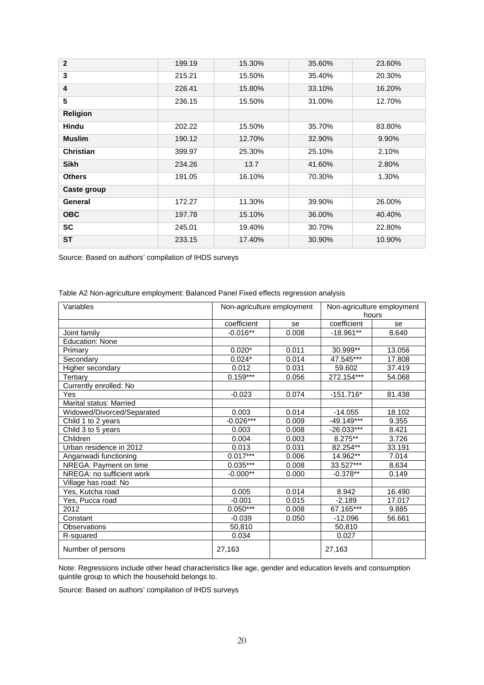| $\mathbf{2}$     | 199.19 | 15.30% | 35.60% | 23.60% |
|------------------|--------|--------|--------|--------|
| 3                | 215.21 | 15.50% | 35.40% | 20.30% |
| 4                | 226.41 | 15.80% | 33.10% | 16.20% |
| 5                | 236.15 | 15.50% | 31.00% | 12.70% |
| <b>Religion</b>  |        |        |        |        |
| <b>Hindu</b>     | 202.22 | 15.50% | 35.70% | 83.80% |
| <b>Muslim</b>    | 190.12 | 12.70% | 32.90% | 9.90%  |
| <b>Christian</b> | 399.97 | 25.30% | 25.10% | 2.10%  |
| <b>Sikh</b>      | 234.26 | 13.7   | 41.60% | 2.80%  |
| <b>Others</b>    | 191.05 | 16.10% | 70.30% | 1.30%  |
| Caste group      |        |        |        |        |
| General          | 172.27 | 11.30% | 39.90% | 26.00% |
| <b>OBC</b>       | 197.78 | 15.10% | 36.00% | 40.40% |
| <b>SC</b>        | 245.01 | 19.40% | 30.70% | 22.80% |
| <b>ST</b>        | 233.15 | 17.40% | 30.90% | 10.90% |

Source: Based on authors' compilation of IHDS surveys

| Table A2 Non-agriculture employment: Balanced Panel Fixed effects regression analysis |  |  |
|---------------------------------------------------------------------------------------|--|--|
|                                                                                       |  |  |
|                                                                                       |  |  |
|                                                                                       |  |  |

| $\overline{\text{Variables}}$ | Non-agriculture employment |       | Non-agriculture employment<br>hours |        |
|-------------------------------|----------------------------|-------|-------------------------------------|--------|
|                               | coefficient                | se    | coefficient                         | se     |
| Joint family                  | $-0.016**$                 | 0.008 | $-18.961**$                         | 8.640  |
| <b>Education: None</b>        |                            |       |                                     |        |
| Primary                       | $0.020*$                   | 0.011 | 30.999**                            | 13.056 |
| Secondary                     | $0.024*$                   | 0.014 | 47.545***                           | 17.808 |
| Higher secondary              | 0.012                      | 0.031 | 59.602                              | 37.419 |
| Tertiary                      | $0.159***$                 | 0.056 | 272.154***                          | 54.068 |
| Currently enrolled: No        |                            |       |                                     |        |
| Yes                           | $-0.023$                   | 0.074 | $-151.716*$                         | 81.438 |
| Marital status: Married       |                            |       |                                     |        |
| Widowed/Divorced/Separated    | 0.003                      | 0.014 | $-14.055$                           | 18.102 |
| Child 1 to 2 years            | $-0.026***$                | 0.009 | $-49.149***$                        | 9.355  |
| Child 3 to 5 years            | 0.003                      | 0.008 | $-26.033***$                        | 8.421  |
| Children                      | 0.004                      | 0.003 | 8.275**                             | 3.726  |
| Urban residence in 2012       | 0.013                      | 0.031 | 82.254**                            | 33.191 |
| Anganwadi functioning         | $0.017***$                 | 0.006 | 14.962**                            | 7.014  |
| NREGA: Payment on time        | $0.035***$                 | 0.008 | 33.527***                           | 8.634  |
| NREGA: no sufficient work     | $-0.000**$                 | 0.000 | $-0.378**$                          | 0.149  |
| Village has road: No          |                            |       |                                     |        |
| Yes, Kutcha road              | 0.005                      | 0.014 | 8.942                               | 16.490 |
| Yes, Pucca road               | $-0.001$                   | 0.015 | $-2.189$                            | 17.017 |
| 2012                          | $0.050***$                 | 0.008 | 67.165***                           | 9.885  |
| Constant                      | $-0.039$                   | 0.050 | $-12.096$                           | 56.661 |
| Observations                  | 50,810                     |       | 50,810                              |        |
| R-squared                     | 0.034                      |       | 0.027                               |        |
| Number of persons             | 27,163                     |       | 27,163                              |        |

Note: Regressions include other head characteristics like age, gender and education levels and consumption quintile group to which the household belongs to.

Source: Based on authors' compilation of IHDS surveys